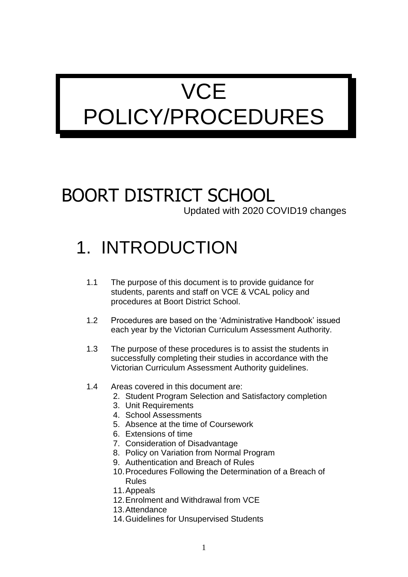# **VCE** POLICY/PROCEDURES

# BOORT DISTRICT SCHOOL

Updated with 2020 COVID19 changes

# 1. INTRODUCTION

- 1.1 The purpose of this document is to provide guidance for students, parents and staff on VCE & VCAL policy and procedures at Boort District School.
- 1.2 Procedures are based on the 'Administrative Handbook' issued each year by the Victorian Curriculum Assessment Authority.
- 1.3 The purpose of these procedures is to assist the students in successfully completing their studies in accordance with the Victorian Curriculum Assessment Authority guidelines.
- 1.4 Areas covered in this document are:
	- 2. Student Program Selection and Satisfactory completion
	- 3. Unit Requirements
	- 4. School Assessments
	- 5. Absence at the time of Coursework
	- 6. Extensions of time
	- 7. Consideration of Disadvantage
	- 8. Policy on Variation from Normal Program
	- 9. Authentication and Breach of Rules
	- 10.Procedures Following the Determination of a Breach of Rules
	- 11.Appeals
	- 12.Enrolment and Withdrawal from VCE
	- 13.Attendance
	- 14.Guidelines for Unsupervised Students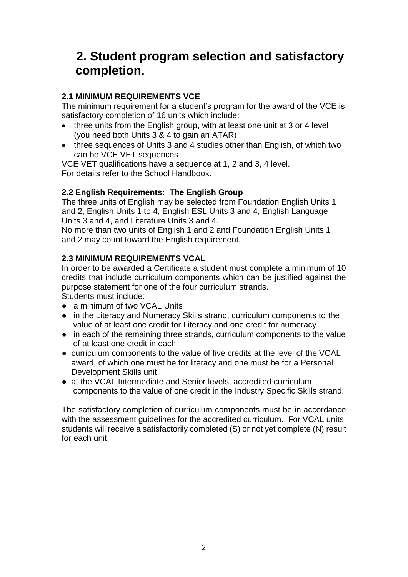# **2. Student program selection and satisfactory completion.**

## **2.1 MINIMUM REQUIREMENTS VCE**

The minimum requirement for a student's program for the award of the VCE is satisfactory completion of 16 units which include:

- three units from the English group, with at least one unit at 3 or 4 level (you need both Units 3 & 4 to gain an ATAR)
- three sequences of Units 3 and 4 studies other than English, of which two can be VCE VET sequences

VCE VET qualifications have a sequence at 1, 2 and 3, 4 level. For details refer to the School Handbook.

## **2.2 English Requirements: The English Group**

The three units of English may be selected from Foundation English Units 1 and 2, English Units 1 to 4, English ESL Units 3 and 4, English Language Units 3 and 4, and Literature Units 3 and 4.

No more than two units of English 1 and 2 and Foundation English Units 1 and 2 may count toward the English requirement.

## **2.3 MINIMUM REQUIREMENTS VCAL**

In order to be awarded a Certificate a student must complete a minimum of 10 credits that include curriculum components which can be justified against the purpose statement for one of the four curriculum strands. Students must include:

● a minimum of two VCAL Units

- in the Literacy and Numeracy Skills strand, curriculum components to the value of at least one credit for Literacy and one credit for numeracy
- in each of the remaining three strands, curriculum components to the value of at least one credit in each
- curriculum components to the value of five credits at the level of the VCAL award, of which one must be for literacy and one must be for a Personal Development Skills unit
- at the VCAL Intermediate and Senior levels, accredited curriculum components to the value of one credit in the Industry Specific Skills strand.

The satisfactory completion of curriculum components must be in accordance with the assessment guidelines for the accredited curriculum. For VCAL units, students will receive a satisfactorily completed (S) or not yet complete (N) result for each unit.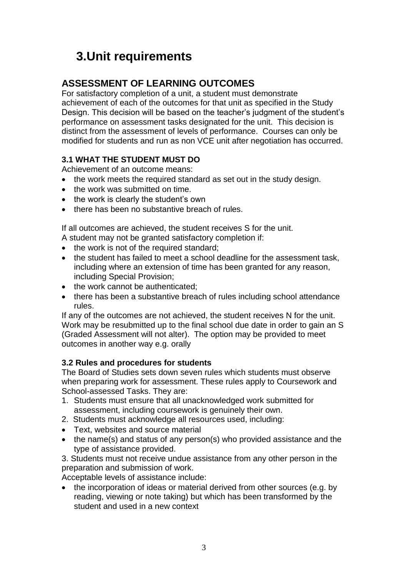# **3.Unit requirements**

# **ASSESSMENT OF LEARNING OUTCOMES**

For satisfactory completion of a unit, a student must demonstrate achievement of each of the outcomes for that unit as specified in the Study Design. This decision will be based on the teacher's judgment of the student's performance on assessment tasks designated for the unit. This decision is distinct from the assessment of levels of performance. Courses can only be modified for students and run as non VCE unit after negotiation has occurred.

# **3.1 WHAT THE STUDENT MUST DO**

Achievement of an outcome means:

- the work meets the required standard as set out in the study design.
- the work was submitted on time.
- the work is clearly the student's own
- there has been no substantive breach of rules.

If all outcomes are achieved, the student receives S for the unit. A student may not be granted satisfactory completion if:

- the work is not of the required standard;
- the student has failed to meet a school deadline for the assessment task, including where an extension of time has been granted for any reason, including Special Provision;
- the work cannot be authenticated;
- there has been a substantive breach of rules including school attendance rules.

If any of the outcomes are not achieved, the student receives N for the unit. Work may be resubmitted up to the final school due date in order to gain an S (Graded Assessment will not alter). The option may be provided to meet outcomes in another way e.g. orally

## **3.2 Rules and procedures for students**

The Board of Studies sets down seven rules which students must observe when preparing work for assessment. These rules apply to Coursework and School-assessed Tasks. They are:

- 1. Students must ensure that all unacknowledged work submitted for assessment, including coursework is genuinely their own.
- 2. Students must acknowledge all resources used, including:
- Text, websites and source material
- the name(s) and status of any person(s) who provided assistance and the type of assistance provided.

3. Students must not receive undue assistance from any other person in the preparation and submission of work.

Acceptable levels of assistance include:

• the incorporation of ideas or material derived from other sources (e.g. by reading, viewing or note taking) but which has been transformed by the student and used in a new context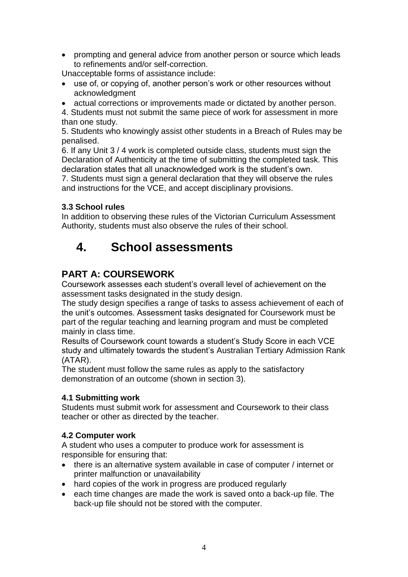prompting and general advice from another person or source which leads to refinements and/or self-correction.

Unacceptable forms of assistance include:

- use of, or copying of, another person's work or other resources without acknowledgment
- actual corrections or improvements made or dictated by another person.

4. Students must not submit the same piece of work for assessment in more than one study.

5. Students who knowingly assist other students in a Breach of Rules may be penalised.

6. If any Unit 3 / 4 work is completed outside class, students must sign the Declaration of Authenticity at the time of submitting the completed task. This declaration states that all unacknowledged work is the student's own.

7. Students must sign a general declaration that they will observe the rules and instructions for the VCE, and accept disciplinary provisions.

## **3.3 School rules**

In addition to observing these rules of the Victorian Curriculum Assessment Authority, students must also observe the rules of their school.

# **4. School assessments**

# **PART A: COURSEWORK**

Coursework assesses each student's overall level of achievement on the assessment tasks designated in the study design.

The study design specifies a range of tasks to assess achievement of each of the unit's outcomes. Assessment tasks designated for Coursework must be part of the regular teaching and learning program and must be completed mainly in class time.

Results of Coursework count towards a student's Study Score in each VCE study and ultimately towards the student's Australian Tertiary Admission Rank (ATAR).

The student must follow the same rules as apply to the satisfactory demonstration of an outcome (shown in section 3).

## **4.1 Submitting work**

Students must submit work for assessment and Coursework to their class teacher or other as directed by the teacher.

## **4.2 Computer work**

A student who uses a computer to produce work for assessment is responsible for ensuring that:

- there is an alternative system available in case of computer / internet or printer malfunction or unavailability
- hard copies of the work in progress are produced regularly
- each time changes are made the work is saved onto a back-up file. The back-up file should not be stored with the computer.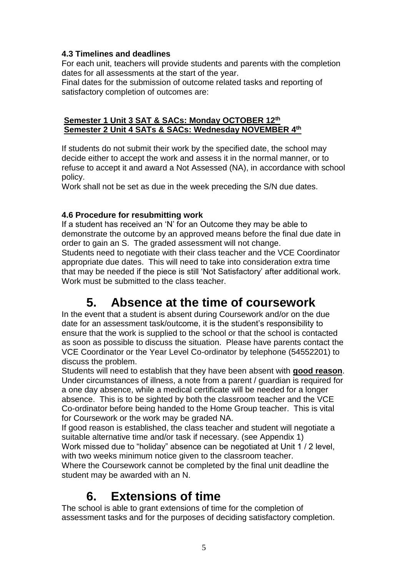## **4.3 Timelines and deadlines**

For each unit, teachers will provide students and parents with the completion dates for all assessments at the start of the year.

Final dates for the submission of outcome related tasks and reporting of satisfactory completion of outcomes are:

#### **Semester 1 Unit 3 SAT & SACs: Monday OCTOBER 12th Semester 2 Unit 4 SATs & SACs: Wednesday NOVEMBER 4 th**

If students do not submit their work by the specified date, the school may decide either to accept the work and assess it in the normal manner, or to refuse to accept it and award a Not Assessed (NA), in accordance with school policy.

Work shall not be set as due in the week preceding the S/N due dates.

## **4.6 Procedure for resubmitting work**

If a student has received an 'N' for an Outcome they may be able to demonstrate the outcome by an approved means before the final due date in order to gain an S. The graded assessment will not change.

Students need to negotiate with their class teacher and the VCE Coordinator appropriate due dates. This will need to take into consideration extra time that may be needed if the piece is still 'Not Satisfactory' after additional work. Work must be submitted to the class teacher.

# **5. Absence at the time of coursework**

In the event that a student is absent during Coursework and/or on the due date for an assessment task/outcome, it is the student's responsibility to ensure that the work is supplied to the school or that the school is contacted as soon as possible to discuss the situation. Please have parents contact the VCE Coordinator or the Year Level Co-ordinator by telephone (54552201) to discuss the problem.

Students will need to establish that they have been absent with **good reason**. Under circumstances of illness, a note from a parent / guardian is required for a one day absence, while a medical certificate will be needed for a longer absence. This is to be sighted by both the classroom teacher and the VCE Co-ordinator before being handed to the Home Group teacher. This is vital for Coursework or the work may be graded NA.

If good reason is established, the class teacher and student will negotiate a suitable alternative time and/or task if necessary. (see Appendix 1) Work missed due to "holiday" absence can be negotiated at Unit 1 / 2 level,

with two weeks minimum notice given to the classroom teacher.

Where the Coursework cannot be completed by the final unit deadline the student may be awarded with an N.

# **6. Extensions of time**

The school is able to grant extensions of time for the completion of assessment tasks and for the purposes of deciding satisfactory completion.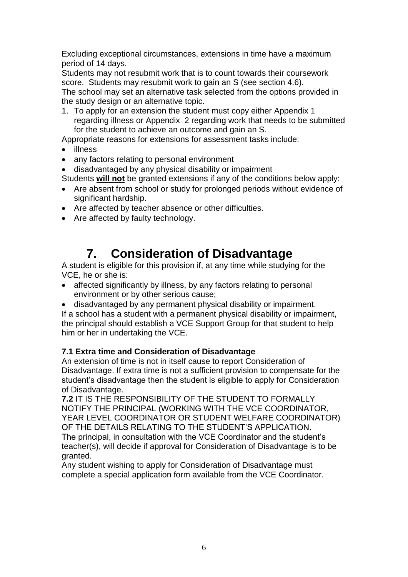Excluding exceptional circumstances, extensions in time have a maximum period of 14 days.

Students may not resubmit work that is to count towards their coursework score. Students may resubmit work to gain an S (see section 4.6). The school may set an alternative task selected from the options provided in the study design or an alternative topic.

1. To apply for an extension the student must copy either Appendix 1 regarding illness or Appendix 2 regarding work that needs to be submitted for the student to achieve an outcome and gain an S.

Appropriate reasons for extensions for assessment tasks include:

- illness
- any factors relating to personal environment
- disadvantaged by any physical disability or impairment
- Students **will not** be granted extensions if any of the conditions below apply:
- Are absent from school or study for prolonged periods without evidence of significant hardship.
- Are affected by teacher absence or other difficulties.
- Are affected by faulty technology.

# **7. Consideration of Disadvantage**

A student is eligible for this provision if, at any time while studying for the VCE, he or she is:

- affected significantly by illness, by any factors relating to personal environment or by other serious cause;
- disadvantaged by any permanent physical disability or impairment.

If a school has a student with a permanent physical disability or impairment, the principal should establish a VCE Support Group for that student to help him or her in undertaking the VCE.

## **7.1 Extra time and Consideration of Disadvantage**

An extension of time is not in itself cause to report Consideration of Disadvantage. If extra time is not a sufficient provision to compensate for the student's disadvantage then the student is eligible to apply for Consideration of Disadvantage.

**7.2** IT IS THE RESPONSIBILITY OF THE STUDENT TO FORMALLY NOTIFY THE PRINCIPAL (WORKING WITH THE VCE COORDINATOR, YEAR LEVEL COORDINATOR OR STUDENT WELFARE COORDINATOR) OF THE DETAILS RELATING TO THE STUDENT'S APPLICATION. The principal, in consultation with the VCE Coordinator and the student's teacher(s), will decide if approval for Consideration of Disadvantage is to be granted.

Any student wishing to apply for Consideration of Disadvantage must complete a special application form available from the VCE Coordinator.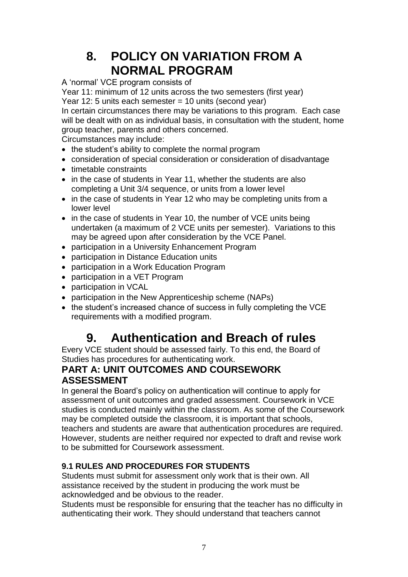# **8. POLICY ON VARIATION FROM A NORMAL PROGRAM**

A 'normal' VCE program consists of

Year 11: minimum of 12 units across the two semesters (first year)

Year 12: 5 units each semester = 10 units (second year)

In certain circumstances there may be variations to this program. Each case will be dealt with on as individual basis, in consultation with the student, home group teacher, parents and others concerned.

Circumstances may include:

- the student's ability to complete the normal program
- consideration of special consideration or consideration of disadvantage
- timetable constraints
- in the case of students in Year 11, whether the students are also completing a Unit 3/4 sequence, or units from a lower level
- in the case of students in Year 12 who may be completing units from a lower level
- in the case of students in Year 10, the number of VCE units being undertaken (a maximum of 2 VCE units per semester). Variations to this may be agreed upon after consideration by the VCE Panel.
- participation in a University Enhancement Program
- participation in Distance Education units
- participation in a Work Education Program
- participation in a VET Program
- participation in VCAL
- participation in the New Apprenticeship scheme (NAPs)
- the student's increased chance of success in fully completing the VCE requirements with a modified program.

# **9. Authentication and Breach of rules**

Every VCE student should be assessed fairly. To this end, the Board of Studies has procedures for authenticating work.

# **PART A: UNIT OUTCOMES AND COURSEWORK ASSESSMENT**

In general the Board's policy on authentication will continue to apply for assessment of unit outcomes and graded assessment. Coursework in VCE studies is conducted mainly within the classroom. As some of the Coursework may be completed outside the classroom, it is important that schools, teachers and students are aware that authentication procedures are required. However, students are neither required nor expected to draft and revise work to be submitted for Coursework assessment.

## **9.1 RULES AND PROCEDURES FOR STUDENTS**

Students must submit for assessment only work that is their own. All assistance received by the student in producing the work must be acknowledged and be obvious to the reader.

Students must be responsible for ensuring that the teacher has no difficulty in authenticating their work. They should understand that teachers cannot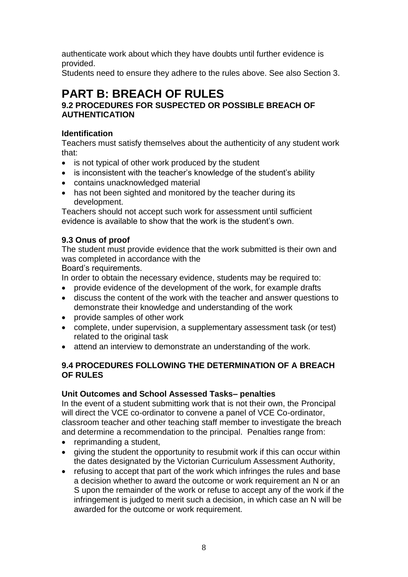authenticate work about which they have doubts until further evidence is provided.

Students need to ensure they adhere to the rules above. See also Section 3.

# **PART B: BREACH OF RULES**

## **9.2 PROCEDURES FOR SUSPECTED OR POSSIBLE BREACH OF AUTHENTICATION**

#### **Identification**

Teachers must satisfy themselves about the authenticity of any student work that:

- is not typical of other work produced by the student
- is inconsistent with the teacher's knowledge of the student's ability
- contains unacknowledged material
- has not been sighted and monitored by the teacher during its development.

Teachers should not accept such work for assessment until sufficient evidence is available to show that the work is the student's own.

#### **9.3 Onus of proof**

The student must provide evidence that the work submitted is their own and was completed in accordance with the

Board's requirements.

In order to obtain the necessary evidence, students may be required to:

- provide evidence of the development of the work, for example drafts
- discuss the content of the work with the teacher and answer questions to demonstrate their knowledge and understanding of the work
- provide samples of other work
- complete, under supervision, a supplementary assessment task (or test) related to the original task
- attend an interview to demonstrate an understanding of the work.

#### **9.4 PROCEDURES FOLLOWING THE DETERMINATION OF A BREACH OF RULES**

#### **Unit Outcomes and School Assessed Tasks– penalties**

In the event of a student submitting work that is not their own, the Proncipal will direct the VCE co-ordinator to convene a panel of VCE Co-ordinator, classroom teacher and other teaching staff member to investigate the breach and determine a recommendation to the principal. Penalties range from:

- reprimanding a student,
- giving the student the opportunity to resubmit work if this can occur within the dates designated by the Victorian Curriculum Assessment Authority,
- refusing to accept that part of the work which infringes the rules and base a decision whether to award the outcome or work requirement an N or an S upon the remainder of the work or refuse to accept any of the work if the infringement is judged to merit such a decision, in which case an N will be awarded for the outcome or work requirement.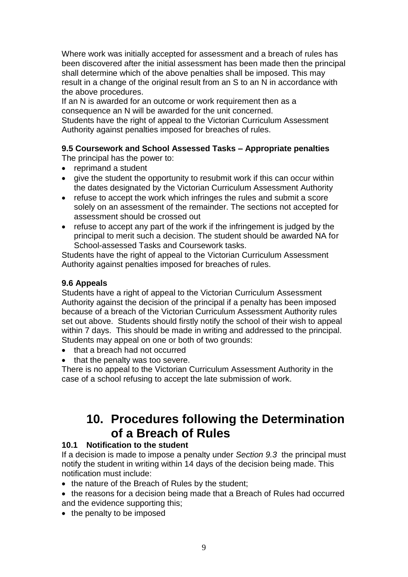Where work was initially accepted for assessment and a breach of rules has been discovered after the initial assessment has been made then the principal shall determine which of the above penalties shall be imposed. This may result in a change of the original result from an S to an N in accordance with the above procedures.

If an N is awarded for an outcome or work requirement then as a consequence an N will be awarded for the unit concerned. Students have the right of appeal to the Victorian Curriculum Assessment Authority against penalties imposed for breaches of rules.

## **9.5 Coursework and School Assessed Tasks – Appropriate penalties**

The principal has the power to:

- reprimand a student
- give the student the opportunity to resubmit work if this can occur within the dates designated by the Victorian Curriculum Assessment Authority
- refuse to accept the work which infringes the rules and submit a score solely on an assessment of the remainder. The sections not accepted for assessment should be crossed out
- refuse to accept any part of the work if the infringement is judged by the principal to merit such a decision. The student should be awarded NA for School-assessed Tasks and Coursework tasks.

Students have the right of appeal to the Victorian Curriculum Assessment Authority against penalties imposed for breaches of rules.

## **9.6 Appeals**

Students have a right of appeal to the Victorian Curriculum Assessment Authority against the decision of the principal if a penalty has been imposed because of a breach of the Victorian Curriculum Assessment Authority rules set out above. Students should firstly notify the school of their wish to appeal within 7 days. This should be made in writing and addressed to the principal. Students may appeal on one or both of two grounds:

- that a breach had not occurred
- that the penalty was too severe.

There is no appeal to the Victorian Curriculum Assessment Authority in the case of a school refusing to accept the late submission of work.

# **10. Procedures following the Determination of a Breach of Rules**

## **10.1 Notification to the student**

If a decision is made to impose a penalty under *Section 9.3* the principal must notify the student in writing within 14 days of the decision being made. This notification must include:

- the nature of the Breach of Rules by the student;
- the reasons for a decision being made that a Breach of Rules had occurred and the evidence supporting this;
- the penalty to be imposed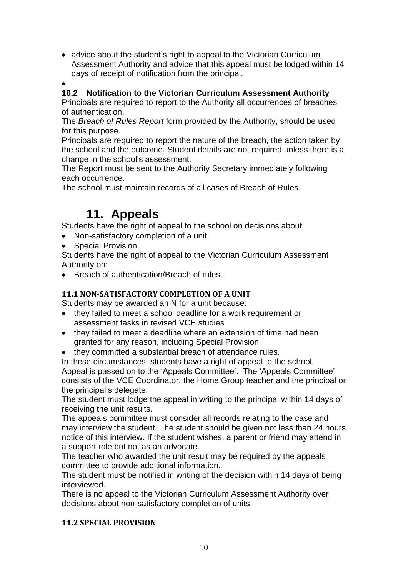- advice about the student's right to appeal to the Victorian Curriculum Assessment Authority and advice that this appeal must be lodged within 14 days of receipt of notification from the principal.
- $\bullet$

#### **10.2 Notification to the Victorian Curriculum Assessment Authority**

Principals are required to report to the Authority all occurrences of breaches of authentication.

The *Breach of Rules Report* form provided by the Authority, should be used for this purpose.

Principals are required to report the nature of the breach, the action taken by the school and the outcome. Student details are not required unless there is a change in the school's assessment.

The Report must be sent to the Authority Secretary immediately following each occurrence.

The school must maintain records of all cases of Breach of Rules.

# **11. Appeals**

Students have the right of appeal to the school on decisions about:

- Non-satisfactory completion of a unit
- Special Provision.

Students have the right of appeal to the Victorian Curriculum Assessment Authority on:

Breach of authentication/Breach of rules.

#### **11.1 NON-SATISFACTORY COMPLETION OF A UNIT**

Students may be awarded an N for a unit because:

- they failed to meet a school deadline for a work requirement or assessment tasks in revised VCE studies
- they failed to meet a deadline where an extension of time had been granted for any reason, including Special Provision
- they committed a substantial breach of attendance rules.

In these circumstances, students have a right of appeal to the school.

Appeal is passed on to the 'Appeals Committee'. The 'Appeals Committee' consists of the VCE Coordinator, the Home Group teacher and the principal or the principal's delegate.

The student must lodge the appeal in writing to the principal within 14 days of receiving the unit results.

The appeals committee must consider all records relating to the case and may interview the student. The student should be given not less than 24 hours notice of this interview. If the student wishes, a parent or friend may attend in a support role but not as an advocate.

The teacher who awarded the unit result may be required by the appeals committee to provide additional information.

The student must be notified in writing of the decision within 14 days of being interviewed.

There is no appeal to the Victorian Curriculum Assessment Authority over decisions about non-satisfactory completion of units.

#### **11.2 SPECIAL PROVISION**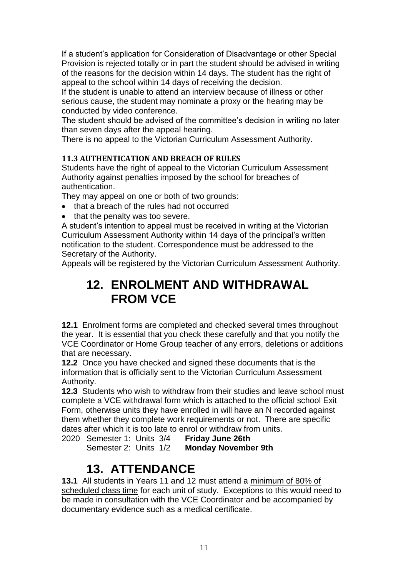If a student's application for Consideration of Disadvantage or other Special Provision is rejected totally or in part the student should be advised in writing of the reasons for the decision within 14 days. The student has the right of appeal to the school within 14 days of receiving the decision.

If the student is unable to attend an interview because of illness or other serious cause, the student may nominate a proxy or the hearing may be conducted by video conference.

The student should be advised of the committee's decision in writing no later than seven days after the appeal hearing.

There is no appeal to the Victorian Curriculum Assessment Authority.

## **11.3 AUTHENTICATION AND BREACH OF RULES**

Students have the right of appeal to the Victorian Curriculum Assessment Authority against penalties imposed by the school for breaches of authentication.

They may appeal on one or both of two grounds:

- that a breach of the rules had not occurred
- that the penalty was too severe.

A student's intention to appeal must be received in writing at the Victorian Curriculum Assessment Authority within 14 days of the principal's written notification to the student. Correspondence must be addressed to the Secretary of the Authority.

Appeals will be registered by the Victorian Curriculum Assessment Authority.

# **12. ENROLMENT AND WITHDRAWAL FROM VCE**

**12.1** Enrolment forms are completed and checked several times throughout the year. It is essential that you check these carefully and that you notify the VCE Coordinator or Home Group teacher of any errors, deletions or additions that are necessary.

**12.2** Once you have checked and signed these documents that is the information that is officially sent to the Victorian Curriculum Assessment Authority.

**12.3** Students who wish to withdraw from their studies and leave school must complete a VCE withdrawal form which is attached to the official school Exit Form, otherwise units they have enrolled in will have an N recorded against them whether they complete work requirements or not. There are specific dates after which it is too late to enrol or withdraw from units.

2020 Semester 1: Units 3/4 **Friday June 26th** Semester 2: Units 1/2 **Monday November 9th**

# **13. ATTENDANCE**

**13.1** All students in Years 11 and 12 must attend a minimum of 80% of scheduled class time for each unit of study. Exceptions to this would need to be made in consultation with the VCE Coordinator and be accompanied by documentary evidence such as a medical certificate.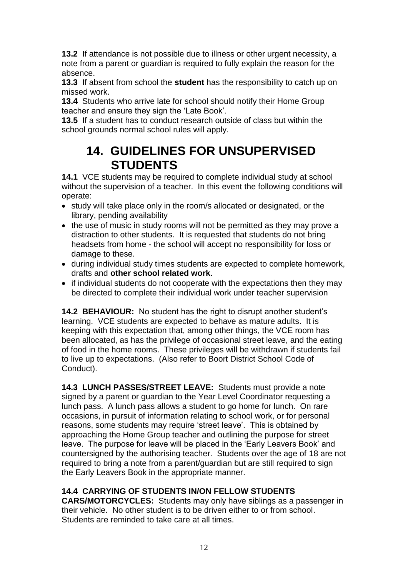**13.2** If attendance is not possible due to illness or other urgent necessity, a note from a parent or guardian is required to fully explain the reason for the absence.

**13.3** If absent from school the **student** has the responsibility to catch up on missed work.

**13.4** Students who arrive late for school should notify their Home Group teacher and ensure they sign the 'Late Book'.

**13.5** If a student has to conduct research outside of class but within the school grounds normal school rules will apply.

# **14. GUIDELINES FOR UNSUPERVISED STUDENTS**

**14.1** VCE students may be required to complete individual study at school without the supervision of a teacher. In this event the following conditions will operate:

- study will take place only in the room/s allocated or designated, or the library, pending availability
- the use of music in study rooms will not be permitted as they may prove a distraction to other students. It is requested that students do not bring headsets from home - the school will accept no responsibility for loss or damage to these.
- during individual study times students are expected to complete homework, drafts and **other school related work**.
- if individual students do not cooperate with the expectations then they may be directed to complete their individual work under teacher supervision

**14.2 BEHAVIOUR:** No student has the right to disrupt another student's learning. VCE students are expected to behave as mature adults. It is keeping with this expectation that, among other things, the VCE room has been allocated, as has the privilege of occasional street leave, and the eating of food in the home rooms. These privileges will be withdrawn if students fail to live up to expectations. (Also refer to Boort District School Code of Conduct).

**14.3 LUNCH PASSES/STREET LEAVE:** Students must provide a note signed by a parent or guardian to the Year Level Coordinator requesting a lunch pass. A lunch pass allows a student to go home for lunch. On rare occasions, in pursuit of information relating to school work, or for personal reasons, some students may require 'street leave'. This is obtained by approaching the Home Group teacher and outlining the purpose for street leave. The purpose for leave will be placed in the 'Early Leavers Book' and countersigned by the authorising teacher. Students over the age of 18 are not required to bring a note from a parent/guardian but are still required to sign the Early Leavers Book in the appropriate manner.

## **14.4 CARRYING OF STUDENTS IN/ON FELLOW STUDENTS**

**CARS/MOTORCYCLES:** Students may only have siblings as a passenger in their vehicle. No other student is to be driven either to or from school. Students are reminded to take care at all times.